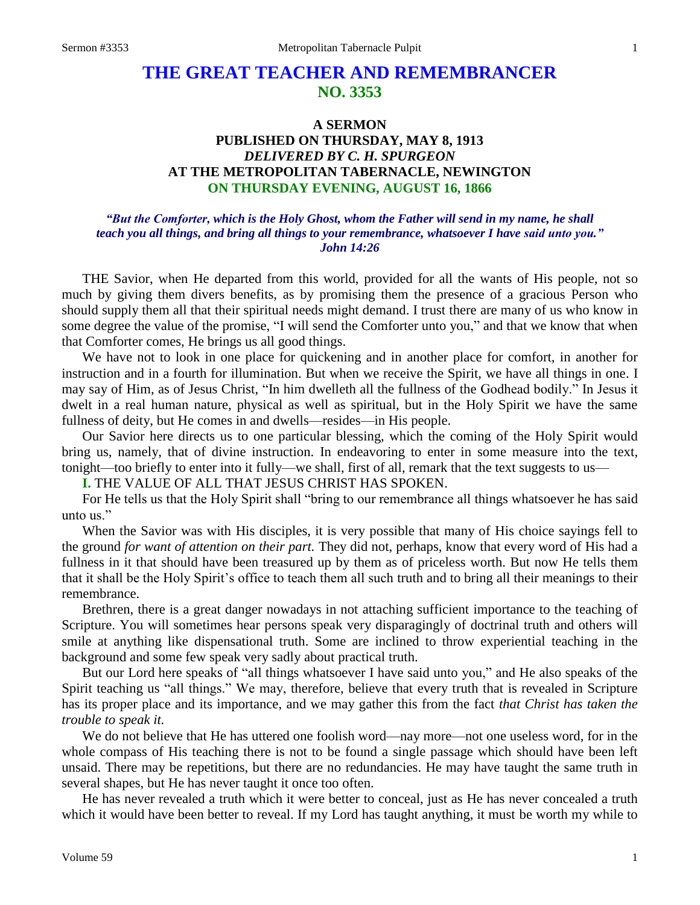# **THE GREAT TEACHER AND REMEMBRANCER NO. 3353**

## **A SERMON PUBLISHED ON THURSDAY, MAY 8, 1913** *DELIVERED BY C. H. SPURGEON* **AT THE METROPOLITAN TABERNACLE, NEWINGTON ON THURSDAY EVENING, AUGUST 16, 1866**

## *"But the Comforter, which is the Holy Ghost, whom the Father will send in my name, he shall teach you all things, and bring all things to your remembrance, whatsoever I have said unto you." John 14:26*

THE Savior, when He departed from this world, provided for all the wants of His people, not so much by giving them divers benefits, as by promising them the presence of a gracious Person who should supply them all that their spiritual needs might demand. I trust there are many of us who know in some degree the value of the promise, "I will send the Comforter unto you," and that we know that when that Comforter comes, He brings us all good things.

We have not to look in one place for quickening and in another place for comfort, in another for instruction and in a fourth for illumination. But when we receive the Spirit, we have all things in one. I may say of Him, as of Jesus Christ, "In him dwelleth all the fullness of the Godhead bodily." In Jesus it dwelt in a real human nature, physical as well as spiritual, but in the Holy Spirit we have the same fullness of deity, but He comes in and dwells—resides—in His people.

Our Savior here directs us to one particular blessing, which the coming of the Holy Spirit would bring us, namely, that of divine instruction. In endeavoring to enter in some measure into the text, tonight—too briefly to enter into it fully—we shall, first of all, remark that the text suggests to us—

**I.** THE VALUE OF ALL THAT JESUS CHRIST HAS SPOKEN.

For He tells us that the Holy Spirit shall "bring to our remembrance all things whatsoever he has said unto us."

When the Savior was with His disciples, it is very possible that many of His choice sayings fell to the ground *for want of attention on their part.* They did not, perhaps, know that every word of His had a fullness in it that should have been treasured up by them as of priceless worth. But now He tells them that it shall be the Holy Spirit's office to teach them all such truth and to bring all their meanings to their remembrance.

Brethren, there is a great danger nowadays in not attaching sufficient importance to the teaching of Scripture. You will sometimes hear persons speak very disparagingly of doctrinal truth and others will smile at anything like dispensational truth. Some are inclined to throw experiential teaching in the background and some few speak very sadly about practical truth.

But our Lord here speaks of "all things whatsoever I have said unto you," and He also speaks of the Spirit teaching us "all things." We may, therefore, believe that every truth that is revealed in Scripture has its proper place and its importance, and we may gather this from the fact *that Christ has taken the trouble to speak it.* 

We do not believe that He has uttered one foolish word—nay more—not one useless word, for in the whole compass of His teaching there is not to be found a single passage which should have been left unsaid. There may be repetitions, but there are no redundancies. He may have taught the same truth in several shapes, but He has never taught it once too often.

He has never revealed a truth which it were better to conceal, just as He has never concealed a truth which it would have been better to reveal. If my Lord has taught anything, it must be worth my while to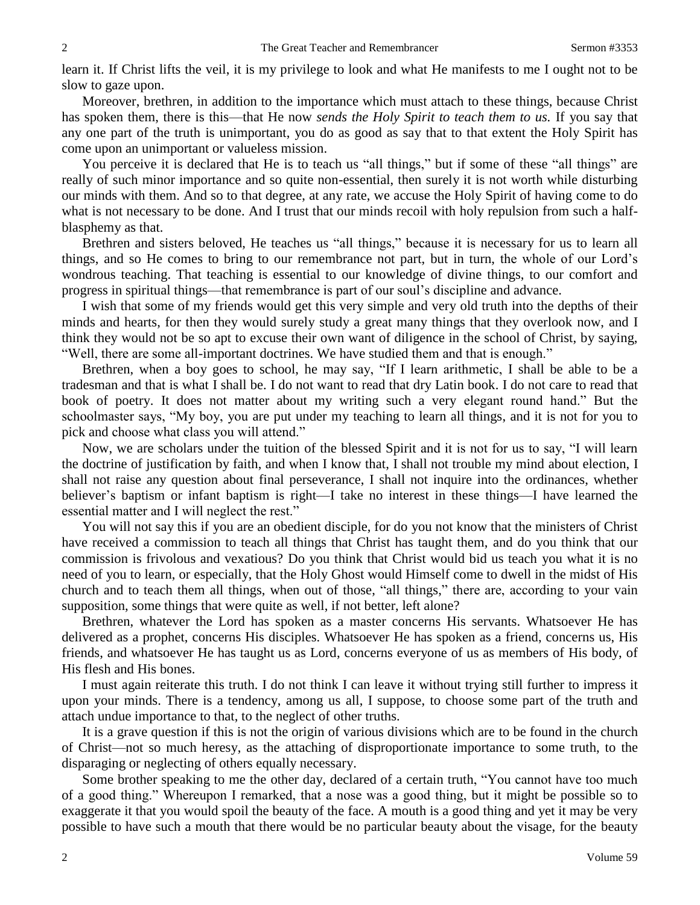learn it. If Christ lifts the veil, it is my privilege to look and what He manifests to me I ought not to be slow to gaze upon.

Moreover, brethren, in addition to the importance which must attach to these things, because Christ has spoken them, there is this—that He now *sends the Holy Spirit to teach them to us.* If you say that any one part of the truth is unimportant, you do as good as say that to that extent the Holy Spirit has come upon an unimportant or valueless mission.

You perceive it is declared that He is to teach us "all things," but if some of these "all things" are really of such minor importance and so quite non-essential, then surely it is not worth while disturbing our minds with them. And so to that degree, at any rate, we accuse the Holy Spirit of having come to do what is not necessary to be done. And I trust that our minds recoil with holy repulsion from such a halfblasphemy as that.

Brethren and sisters beloved, He teaches us "all things," because it is necessary for us to learn all things, and so He comes to bring to our remembrance not part, but in turn, the whole of our Lord's wondrous teaching. That teaching is essential to our knowledge of divine things, to our comfort and progress in spiritual things—that remembrance is part of our soul's discipline and advance.

I wish that some of my friends would get this very simple and very old truth into the depths of their minds and hearts, for then they would surely study a great many things that they overlook now, and I think they would not be so apt to excuse their own want of diligence in the school of Christ, by saying, "Well, there are some all-important doctrines. We have studied them and that is enough."

Brethren, when a boy goes to school, he may say, "If I learn arithmetic, I shall be able to be a tradesman and that is what I shall be. I do not want to read that dry Latin book. I do not care to read that book of poetry. It does not matter about my writing such a very elegant round hand." But the schoolmaster says, "My boy, you are put under my teaching to learn all things, and it is not for you to pick and choose what class you will attend."

Now, we are scholars under the tuition of the blessed Spirit and it is not for us to say, "I will learn the doctrine of justification by faith, and when I know that, I shall not trouble my mind about election, I shall not raise any question about final perseverance, I shall not inquire into the ordinances, whether believer's baptism or infant baptism is right—I take no interest in these things—I have learned the essential matter and I will neglect the rest."

You will not say this if you are an obedient disciple, for do you not know that the ministers of Christ have received a commission to teach all things that Christ has taught them, and do you think that our commission is frivolous and vexatious? Do you think that Christ would bid us teach you what it is no need of you to learn, or especially, that the Holy Ghost would Himself come to dwell in the midst of His church and to teach them all things, when out of those, "all things," there are, according to your vain supposition, some things that were quite as well, if not better, left alone?

Brethren, whatever the Lord has spoken as a master concerns His servants. Whatsoever He has delivered as a prophet, concerns His disciples. Whatsoever He has spoken as a friend, concerns us, His friends, and whatsoever He has taught us as Lord, concerns everyone of us as members of His body, of His flesh and His bones.

I must again reiterate this truth. I do not think I can leave it without trying still further to impress it upon your minds. There is a tendency, among us all, I suppose, to choose some part of the truth and attach undue importance to that, to the neglect of other truths.

It is a grave question if this is not the origin of various divisions which are to be found in the church of Christ—not so much heresy, as the attaching of disproportionate importance to some truth, to the disparaging or neglecting of others equally necessary.

Some brother speaking to me the other day, declared of a certain truth, "You cannot have too much of a good thing." Whereupon I remarked, that a nose was a good thing, but it might be possible so to exaggerate it that you would spoil the beauty of the face. A mouth is a good thing and yet it may be very possible to have such a mouth that there would be no particular beauty about the visage, for the beauty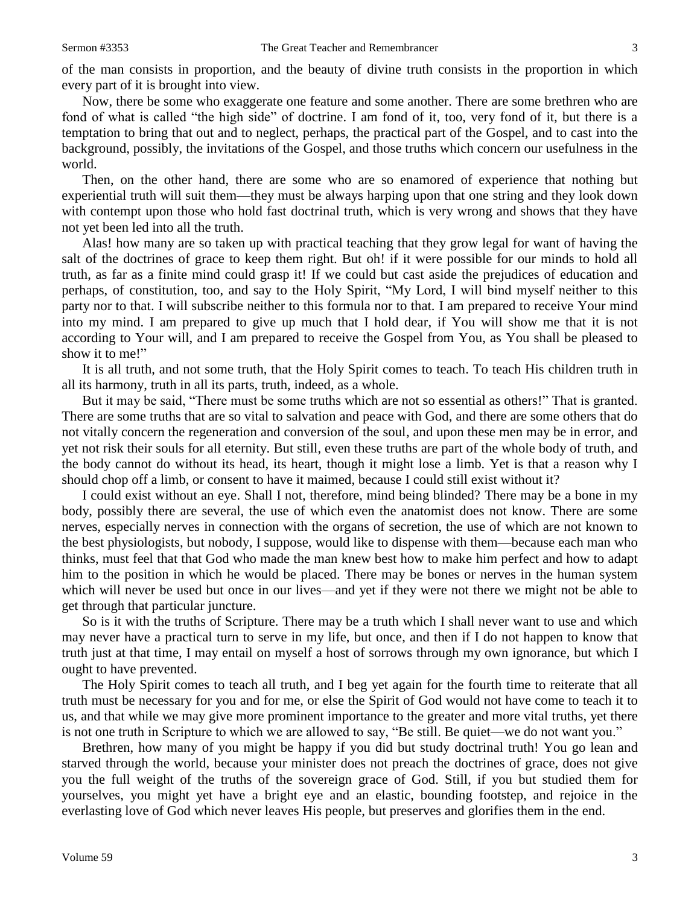of the man consists in proportion, and the beauty of divine truth consists in the proportion in which every part of it is brought into view.

Now, there be some who exaggerate one feature and some another. There are some brethren who are fond of what is called "the high side" of doctrine. I am fond of it, too, very fond of it, but there is a temptation to bring that out and to neglect, perhaps, the practical part of the Gospel, and to cast into the background, possibly, the invitations of the Gospel, and those truths which concern our usefulness in the world.

Then, on the other hand, there are some who are so enamored of experience that nothing but experiential truth will suit them—they must be always harping upon that one string and they look down with contempt upon those who hold fast doctrinal truth, which is very wrong and shows that they have not yet been led into all the truth.

Alas! how many are so taken up with practical teaching that they grow legal for want of having the salt of the doctrines of grace to keep them right. But oh! if it were possible for our minds to hold all truth, as far as a finite mind could grasp it! If we could but cast aside the prejudices of education and perhaps, of constitution, too, and say to the Holy Spirit, "My Lord, I will bind myself neither to this party nor to that. I will subscribe neither to this formula nor to that. I am prepared to receive Your mind into my mind. I am prepared to give up much that I hold dear, if You will show me that it is not according to Your will, and I am prepared to receive the Gospel from You, as You shall be pleased to show it to me!"

It is all truth, and not some truth, that the Holy Spirit comes to teach. To teach His children truth in all its harmony, truth in all its parts, truth, indeed, as a whole.

But it may be said, "There must be some truths which are not so essential as others!" That is granted. There are some truths that are so vital to salvation and peace with God, and there are some others that do not vitally concern the regeneration and conversion of the soul, and upon these men may be in error, and yet not risk their souls for all eternity. But still, even these truths are part of the whole body of truth, and the body cannot do without its head, its heart, though it might lose a limb. Yet is that a reason why I should chop off a limb, or consent to have it maimed, because I could still exist without it?

I could exist without an eye. Shall I not, therefore, mind being blinded? There may be a bone in my body, possibly there are several, the use of which even the anatomist does not know. There are some nerves, especially nerves in connection with the organs of secretion, the use of which are not known to the best physiologists, but nobody, I suppose, would like to dispense with them—because each man who thinks, must feel that that God who made the man knew best how to make him perfect and how to adapt him to the position in which he would be placed. There may be bones or nerves in the human system which will never be used but once in our lives—and yet if they were not there we might not be able to get through that particular juncture.

So is it with the truths of Scripture. There may be a truth which I shall never want to use and which may never have a practical turn to serve in my life, but once, and then if I do not happen to know that truth just at that time, I may entail on myself a host of sorrows through my own ignorance, but which I ought to have prevented.

The Holy Spirit comes to teach all truth, and I beg yet again for the fourth time to reiterate that all truth must be necessary for you and for me, or else the Spirit of God would not have come to teach it to us, and that while we may give more prominent importance to the greater and more vital truths, yet there is not one truth in Scripture to which we are allowed to say, "Be still. Be quiet—we do not want you."

Brethren, how many of you might be happy if you did but study doctrinal truth! You go lean and starved through the world, because your minister does not preach the doctrines of grace, does not give you the full weight of the truths of the sovereign grace of God. Still, if you but studied them for yourselves, you might yet have a bright eye and an elastic, bounding footstep, and rejoice in the everlasting love of God which never leaves His people, but preserves and glorifies them in the end.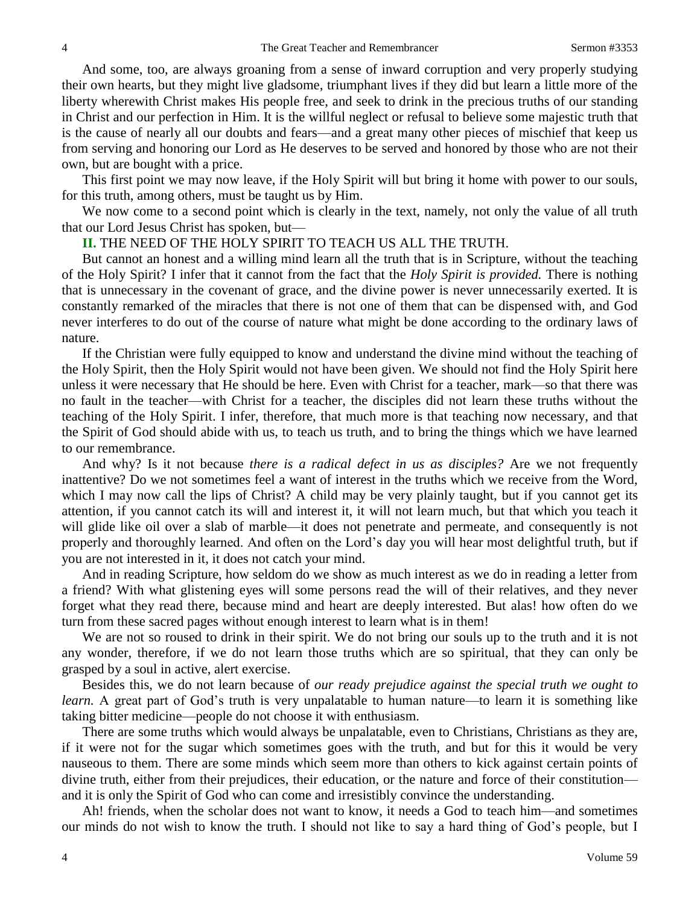And some, too, are always groaning from a sense of inward corruption and very properly studying their own hearts, but they might live gladsome, triumphant lives if they did but learn a little more of the liberty wherewith Christ makes His people free, and seek to drink in the precious truths of our standing in Christ and our perfection in Him. It is the willful neglect or refusal to believe some majestic truth that is the cause of nearly all our doubts and fears—and a great many other pieces of mischief that keep us from serving and honoring our Lord as He deserves to be served and honored by those who are not their own, but are bought with a price.

This first point we may now leave, if the Holy Spirit will but bring it home with power to our souls, for this truth, among others, must be taught us by Him.

We now come to a second point which is clearly in the text, namely, not only the value of all truth that our Lord Jesus Christ has spoken, but—

#### **II.** THE NEED OF THE HOLY SPIRIT TO TEACH US ALL THE TRUTH.

But cannot an honest and a willing mind learn all the truth that is in Scripture, without the teaching of the Holy Spirit? I infer that it cannot from the fact that the *Holy Spirit is provided.* There is nothing that is unnecessary in the covenant of grace, and the divine power is never unnecessarily exerted. It is constantly remarked of the miracles that there is not one of them that can be dispensed with, and God never interferes to do out of the course of nature what might be done according to the ordinary laws of nature.

If the Christian were fully equipped to know and understand the divine mind without the teaching of the Holy Spirit, then the Holy Spirit would not have been given. We should not find the Holy Spirit here unless it were necessary that He should be here. Even with Christ for a teacher, mark—so that there was no fault in the teacher—with Christ for a teacher, the disciples did not learn these truths without the teaching of the Holy Spirit. I infer, therefore, that much more is that teaching now necessary, and that the Spirit of God should abide with us, to teach us truth, and to bring the things which we have learned to our remembrance.

And why? Is it not because *there is a radical defect in us as disciples?* Are we not frequently inattentive? Do we not sometimes feel a want of interest in the truths which we receive from the Word, which I may now call the lips of Christ? A child may be very plainly taught, but if you cannot get its attention, if you cannot catch its will and interest it, it will not learn much, but that which you teach it will glide like oil over a slab of marble—it does not penetrate and permeate, and consequently is not properly and thoroughly learned. And often on the Lord's day you will hear most delightful truth, but if you are not interested in it, it does not catch your mind.

And in reading Scripture, how seldom do we show as much interest as we do in reading a letter from a friend? With what glistening eyes will some persons read the will of their relatives, and they never forget what they read there, because mind and heart are deeply interested. But alas! how often do we turn from these sacred pages without enough interest to learn what is in them!

We are not so roused to drink in their spirit. We do not bring our souls up to the truth and it is not any wonder, therefore, if we do not learn those truths which are so spiritual, that they can only be grasped by a soul in active, alert exercise.

Besides this, we do not learn because of *our ready prejudice against the special truth we ought to learn.* A great part of God's truth is very unpalatable to human nature—to learn it is something like taking bitter medicine—people do not choose it with enthusiasm.

There are some truths which would always be unpalatable, even to Christians, Christians as they are, if it were not for the sugar which sometimes goes with the truth, and but for this it would be very nauseous to them. There are some minds which seem more than others to kick against certain points of divine truth, either from their prejudices, their education, or the nature and force of their constitution and it is only the Spirit of God who can come and irresistibly convince the understanding.

Ah! friends, when the scholar does not want to know, it needs a God to teach him—and sometimes our minds do not wish to know the truth. I should not like to say a hard thing of God's people, but I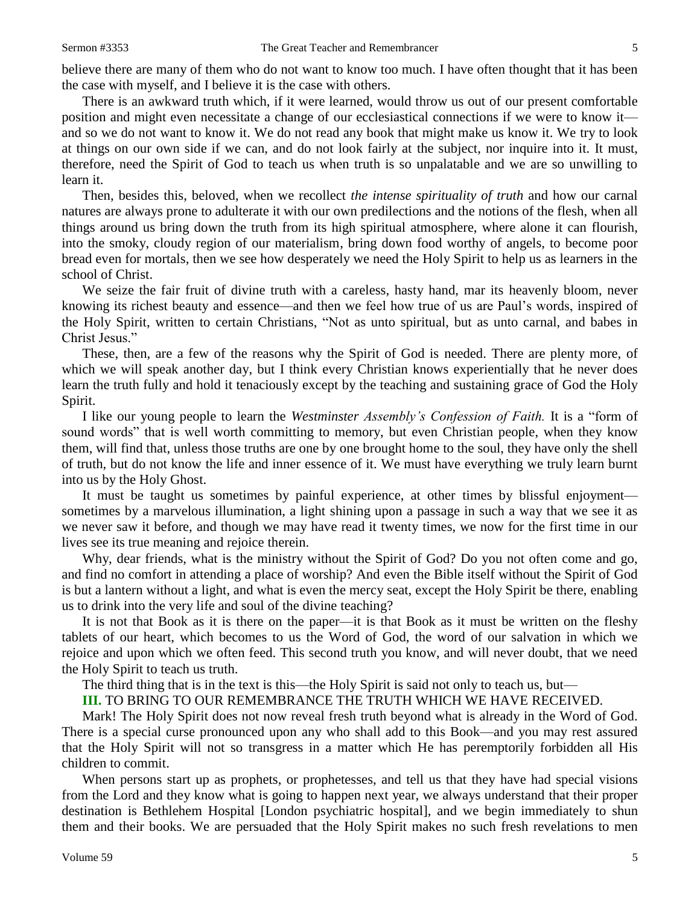believe there are many of them who do not want to know too much. I have often thought that it has been the case with myself, and I believe it is the case with others.

There is an awkward truth which, if it were learned, would throw us out of our present comfortable position and might even necessitate a change of our ecclesiastical connections if we were to know it and so we do not want to know it. We do not read any book that might make us know it. We try to look at things on our own side if we can, and do not look fairly at the subject, nor inquire into it. It must, therefore, need the Spirit of God to teach us when truth is so unpalatable and we are so unwilling to learn it.

Then, besides this, beloved, when we recollect *the intense spirituality of truth* and how our carnal natures are always prone to adulterate it with our own predilections and the notions of the flesh, when all things around us bring down the truth from its high spiritual atmosphere, where alone it can flourish, into the smoky, cloudy region of our materialism, bring down food worthy of angels, to become poor bread even for mortals, then we see how desperately we need the Holy Spirit to help us as learners in the school of Christ.

We seize the fair fruit of divine truth with a careless, hasty hand, mar its heavenly bloom, never knowing its richest beauty and essence—and then we feel how true of us are Paul's words, inspired of the Holy Spirit, written to certain Christians, "Not as unto spiritual, but as unto carnal, and babes in Christ Jesus."

These, then, are a few of the reasons why the Spirit of God is needed. There are plenty more, of which we will speak another day, but I think every Christian knows experientially that he never does learn the truth fully and hold it tenaciously except by the teaching and sustaining grace of God the Holy Spirit.

I like our young people to learn the *Westminster Assembly's Confession of Faith.* It is a "form of sound words" that is well worth committing to memory, but even Christian people, when they know them, will find that, unless those truths are one by one brought home to the soul, they have only the shell of truth, but do not know the life and inner essence of it. We must have everything we truly learn burnt into us by the Holy Ghost.

It must be taught us sometimes by painful experience, at other times by blissful enjoyment sometimes by a marvelous illumination, a light shining upon a passage in such a way that we see it as we never saw it before, and though we may have read it twenty times, we now for the first time in our lives see its true meaning and rejoice therein.

Why, dear friends, what is the ministry without the Spirit of God? Do you not often come and go, and find no comfort in attending a place of worship? And even the Bible itself without the Spirit of God is but a lantern without a light, and what is even the mercy seat, except the Holy Spirit be there, enabling us to drink into the very life and soul of the divine teaching?

It is not that Book as it is there on the paper—it is that Book as it must be written on the fleshy tablets of our heart, which becomes to us the Word of God, the word of our salvation in which we rejoice and upon which we often feed. This second truth you know, and will never doubt, that we need the Holy Spirit to teach us truth.

The third thing that is in the text is this—the Holy Spirit is said not only to teach us, but—

**III.** TO BRING TO OUR REMEMBRANCE THE TRUTH WHICH WE HAVE RECEIVED.

Mark! The Holy Spirit does not now reveal fresh truth beyond what is already in the Word of God. There is a special curse pronounced upon any who shall add to this Book—and you may rest assured that the Holy Spirit will not so transgress in a matter which He has peremptorily forbidden all His children to commit.

When persons start up as prophets, or prophetesses, and tell us that they have had special visions from the Lord and they know what is going to happen next year, we always understand that their proper destination is Bethlehem Hospital [London psychiatric hospital], and we begin immediately to shun them and their books. We are persuaded that the Holy Spirit makes no such fresh revelations to men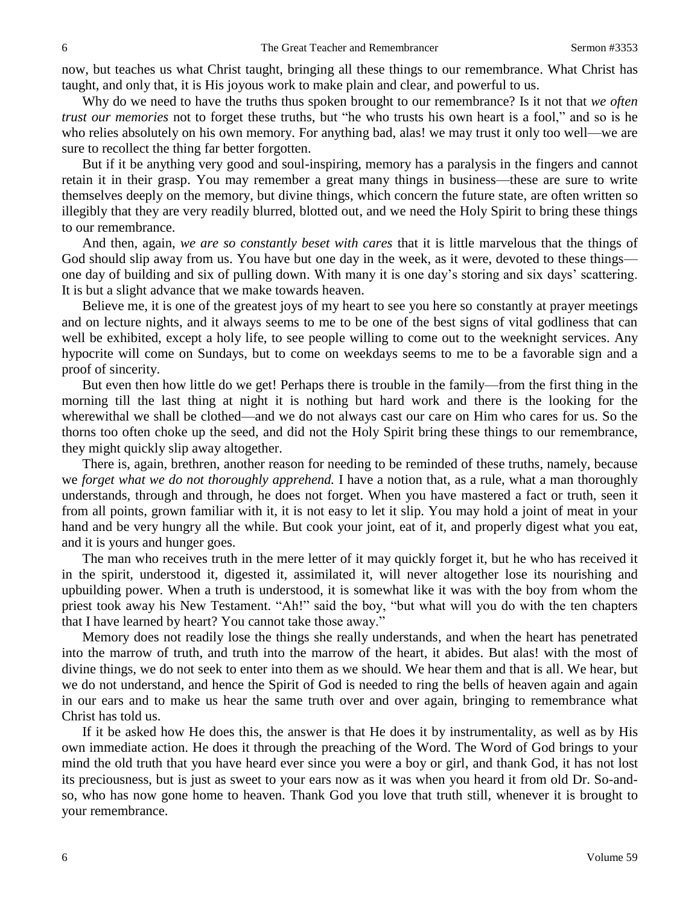now, but teaches us what Christ taught, bringing all these things to our remembrance. What Christ has taught, and only that, it is His joyous work to make plain and clear, and powerful to us.

Why do we need to have the truths thus spoken brought to our remembrance? Is it not that *we often trust our memories* not to forget these truths, but "he who trusts his own heart is a fool," and so is he who relies absolutely on his own memory. For anything bad, alas! we may trust it only too well—we are sure to recollect the thing far better forgotten.

But if it be anything very good and soul-inspiring, memory has a paralysis in the fingers and cannot retain it in their grasp. You may remember a great many things in business—these are sure to write themselves deeply on the memory, but divine things, which concern the future state, are often written so illegibly that they are very readily blurred, blotted out, and we need the Holy Spirit to bring these things to our remembrance.

And then, again, *we are so constantly beset with cares* that it is little marvelous that the things of God should slip away from us. You have but one day in the week, as it were, devoted to these things one day of building and six of pulling down. With many it is one day's storing and six days' scattering. It is but a slight advance that we make towards heaven.

Believe me, it is one of the greatest joys of my heart to see you here so constantly at prayer meetings and on lecture nights, and it always seems to me to be one of the best signs of vital godliness that can well be exhibited, except a holy life, to see people willing to come out to the weeknight services. Any hypocrite will come on Sundays, but to come on weekdays seems to me to be a favorable sign and a proof of sincerity.

But even then how little do we get! Perhaps there is trouble in the family—from the first thing in the morning till the last thing at night it is nothing but hard work and there is the looking for the wherewithal we shall be clothed—and we do not always cast our care on Him who cares for us. So the thorns too often choke up the seed, and did not the Holy Spirit bring these things to our remembrance, they might quickly slip away altogether.

There is, again, brethren, another reason for needing to be reminded of these truths, namely, because we *forget what we do not thoroughly apprehend.* I have a notion that, as a rule, what a man thoroughly understands, through and through, he does not forget. When you have mastered a fact or truth, seen it from all points, grown familiar with it, it is not easy to let it slip. You may hold a joint of meat in your hand and be very hungry all the while. But cook your joint, eat of it, and properly digest what you eat, and it is yours and hunger goes.

The man who receives truth in the mere letter of it may quickly forget it, but he who has received it in the spirit, understood it, digested it, assimilated it, will never altogether lose its nourishing and upbuilding power. When a truth is understood, it is somewhat like it was with the boy from whom the priest took away his New Testament. "Ah!" said the boy, "but what will you do with the ten chapters that I have learned by heart? You cannot take those away."

Memory does not readily lose the things she really understands, and when the heart has penetrated into the marrow of truth, and truth into the marrow of the heart, it abides. But alas! with the most of divine things, we do not seek to enter into them as we should. We hear them and that is all. We hear, but we do not understand, and hence the Spirit of God is needed to ring the bells of heaven again and again in our ears and to make us hear the same truth over and over again, bringing to remembrance what Christ has told us.

If it be asked how He does this, the answer is that He does it by instrumentality, as well as by His own immediate action. He does it through the preaching of the Word. The Word of God brings to your mind the old truth that you have heard ever since you were a boy or girl, and thank God, it has not lost its preciousness, but is just as sweet to your ears now as it was when you heard it from old Dr. So-andso, who has now gone home to heaven. Thank God you love that truth still, whenever it is brought to your remembrance.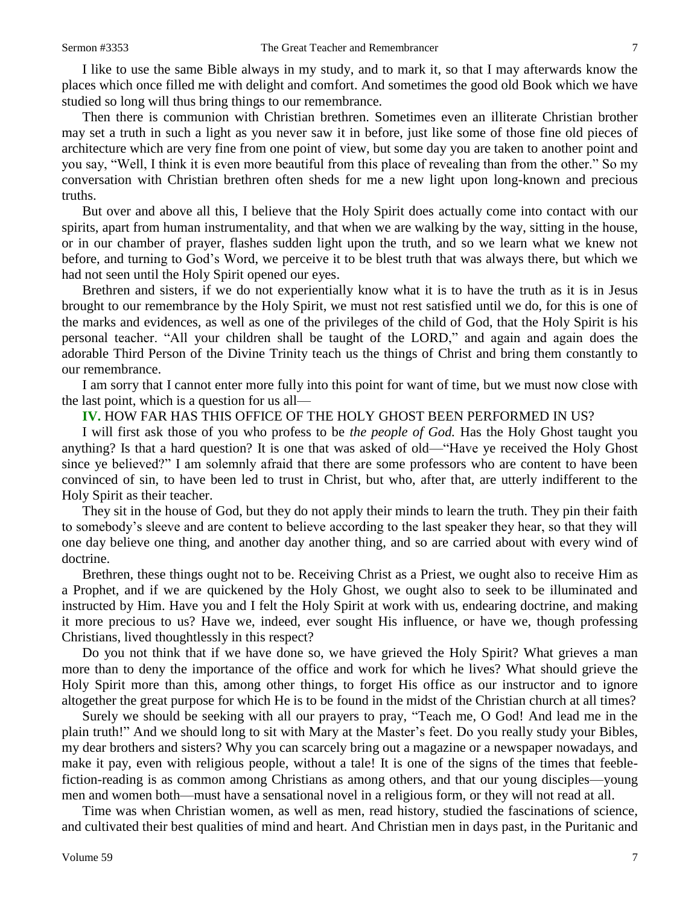I like to use the same Bible always in my study, and to mark it, so that I may afterwards know the places which once filled me with delight and comfort. And sometimes the good old Book which we have studied so long will thus bring things to our remembrance.

Then there is communion with Christian brethren. Sometimes even an illiterate Christian brother may set a truth in such a light as you never saw it in before, just like some of those fine old pieces of architecture which are very fine from one point of view, but some day you are taken to another point and you say, "Well, I think it is even more beautiful from this place of revealing than from the other." So my conversation with Christian brethren often sheds for me a new light upon long-known and precious truths.

But over and above all this, I believe that the Holy Spirit does actually come into contact with our spirits, apart from human instrumentality, and that when we are walking by the way, sitting in the house, or in our chamber of prayer, flashes sudden light upon the truth, and so we learn what we knew not before, and turning to God's Word, we perceive it to be blest truth that was always there, but which we had not seen until the Holy Spirit opened our eyes.

Brethren and sisters, if we do not experientially know what it is to have the truth as it is in Jesus brought to our remembrance by the Holy Spirit, we must not rest satisfied until we do, for this is one of the marks and evidences, as well as one of the privileges of the child of God, that the Holy Spirit is his personal teacher. "All your children shall be taught of the LORD," and again and again does the adorable Third Person of the Divine Trinity teach us the things of Christ and bring them constantly to our remembrance.

I am sorry that I cannot enter more fully into this point for want of time, but we must now close with the last point, which is a question for us all—

## **IV.** HOW FAR HAS THIS OFFICE OF THE HOLY GHOST BEEN PERFORMED IN US?

I will first ask those of you who profess to be *the people of God.* Has the Holy Ghost taught you anything? Is that a hard question? It is one that was asked of old—"Have ye received the Holy Ghost since ye believed?" I am solemnly afraid that there are some professors who are content to have been convinced of sin, to have been led to trust in Christ, but who, after that, are utterly indifferent to the Holy Spirit as their teacher.

They sit in the house of God, but they do not apply their minds to learn the truth. They pin their faith to somebody's sleeve and are content to believe according to the last speaker they hear, so that they will one day believe one thing, and another day another thing, and so are carried about with every wind of doctrine.

Brethren, these things ought not to be. Receiving Christ as a Priest, we ought also to receive Him as a Prophet, and if we are quickened by the Holy Ghost, we ought also to seek to be illuminated and instructed by Him. Have you and I felt the Holy Spirit at work with us, endearing doctrine, and making it more precious to us? Have we, indeed, ever sought His influence, or have we, though professing Christians, lived thoughtlessly in this respect?

Do you not think that if we have done so, we have grieved the Holy Spirit? What grieves a man more than to deny the importance of the office and work for which he lives? What should grieve the Holy Spirit more than this, among other things, to forget His office as our instructor and to ignore altogether the great purpose for which He is to be found in the midst of the Christian church at all times?

Surely we should be seeking with all our prayers to pray, "Teach me, O God! And lead me in the plain truth!" And we should long to sit with Mary at the Master's feet. Do you really study your Bibles, my dear brothers and sisters? Why you can scarcely bring out a magazine or a newspaper nowadays, and make it pay, even with religious people, without a tale! It is one of the signs of the times that feeblefiction-reading is as common among Christians as among others, and that our young disciples—young men and women both—must have a sensational novel in a religious form, or they will not read at all.

Time was when Christian women, as well as men, read history, studied the fascinations of science, and cultivated their best qualities of mind and heart. And Christian men in days past, in the Puritanic and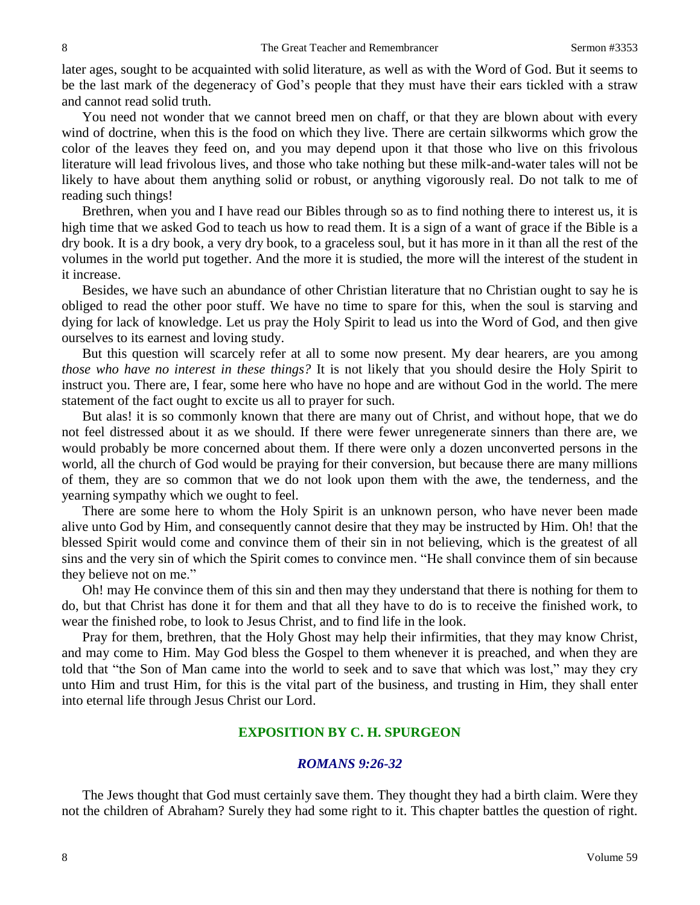later ages, sought to be acquainted with solid literature, as well as with the Word of God. But it seems to be the last mark of the degeneracy of God's people that they must have their ears tickled with a straw and cannot read solid truth.

You need not wonder that we cannot breed men on chaff, or that they are blown about with every wind of doctrine, when this is the food on which they live. There are certain silkworms which grow the color of the leaves they feed on, and you may depend upon it that those who live on this frivolous literature will lead frivolous lives, and those who take nothing but these milk-and-water tales will not be likely to have about them anything solid or robust, or anything vigorously real. Do not talk to me of reading such things!

Brethren, when you and I have read our Bibles through so as to find nothing there to interest us, it is high time that we asked God to teach us how to read them. It is a sign of a want of grace if the Bible is a dry book. It is a dry book, a very dry book, to a graceless soul, but it has more in it than all the rest of the volumes in the world put together. And the more it is studied, the more will the interest of the student in it increase.

Besides, we have such an abundance of other Christian literature that no Christian ought to say he is obliged to read the other poor stuff. We have no time to spare for this, when the soul is starving and dying for lack of knowledge. Let us pray the Holy Spirit to lead us into the Word of God, and then give ourselves to its earnest and loving study.

But this question will scarcely refer at all to some now present. My dear hearers, are you among *those who have no interest in these things?* It is not likely that you should desire the Holy Spirit to instruct you. There are, I fear, some here who have no hope and are without God in the world. The mere statement of the fact ought to excite us all to prayer for such.

But alas! it is so commonly known that there are many out of Christ, and without hope, that we do not feel distressed about it as we should. If there were fewer unregenerate sinners than there are, we would probably be more concerned about them. If there were only a dozen unconverted persons in the world, all the church of God would be praying for their conversion, but because there are many millions of them, they are so common that we do not look upon them with the awe, the tenderness, and the yearning sympathy which we ought to feel.

There are some here to whom the Holy Spirit is an unknown person, who have never been made alive unto God by Him, and consequently cannot desire that they may be instructed by Him. Oh! that the blessed Spirit would come and convince them of their sin in not believing, which is the greatest of all sins and the very sin of which the Spirit comes to convince men. "He shall convince them of sin because they believe not on me."

Oh! may He convince them of this sin and then may they understand that there is nothing for them to do, but that Christ has done it for them and that all they have to do is to receive the finished work, to wear the finished robe, to look to Jesus Christ, and to find life in the look.

Pray for them, brethren, that the Holy Ghost may help their infirmities, that they may know Christ, and may come to Him. May God bless the Gospel to them whenever it is preached, and when they are told that "the Son of Man came into the world to seek and to save that which was lost," may they cry unto Him and trust Him, for this is the vital part of the business, and trusting in Him, they shall enter into eternal life through Jesus Christ our Lord.

### **EXPOSITION BY C. H. SPURGEON**

#### *ROMANS 9:26-32*

The Jews thought that God must certainly save them. They thought they had a birth claim. Were they not the children of Abraham? Surely they had some right to it. This chapter battles the question of right.